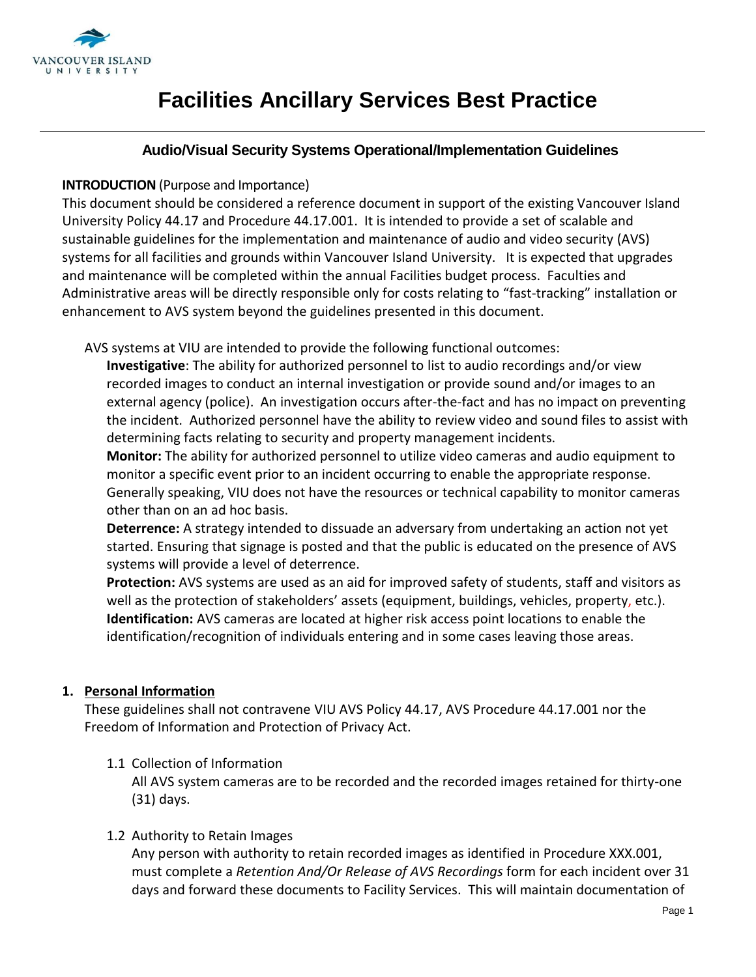

# **Facilities Ancillary Services Best Practice**

## **Audio/Visual Security Systems Operational/Implementation Guidelines**

#### **INTRODUCTION** (Purpose and Importance)

This document should be considered a reference document in support of the existing Vancouver Island University Policy 44.17 and Procedure 44.17.001. It is intended to provide a set of scalable and sustainable guidelines for the implementation and maintenance of audio and video security (AVS) systems for all facilities and grounds within Vancouver Island University. It is expected that upgrades and maintenance will be completed within the annual Facilities budget process. Faculties and Administrative areas will be directly responsible only for costs relating to "fast-tracking" installation or enhancement to AVS system beyond the guidelines presented in this document.

AVS systems at VIU are intended to provide the following functional outcomes:

**Investigative**: The ability for authorized personnel to list to audio recordings and/or view recorded images to conduct an internal investigation or provide sound and/or images to an external agency (police). An investigation occurs after-the-fact and has no impact on preventing the incident. Authorized personnel have the ability to review video and sound files to assist with determining facts relating to security and property management incidents.

**Monitor:** The ability for authorized personnel to utilize video cameras and audio equipment to monitor a specific event prior to an incident occurring to enable the appropriate response. Generally speaking, VIU does not have the resources or technical capability to monitor cameras other than on an ad hoc basis.

**Deterrence:** A strategy intended to dissuade an adversary from undertaking an action not yet started. Ensuring that signage is posted and that the public is educated on the presence of AVS systems will provide a level of deterrence.

**Protection:** AVS systems are used as an aid for improved safety of students, staff and visitors as well as the protection of stakeholders' assets (equipment, buildings, vehicles, property, etc.). **Identification:** AVS cameras are located at higher risk access point locations to enable the identification/recognition of individuals entering and in some cases leaving those areas.

## **1. Personal Information**

These guidelines shall not contravene VIU AVS Policy 44.17, AVS Procedure 44.17.001 nor the Freedom of Information and Protection of Privacy Act.

## 1.1 Collection of Information

All AVS system cameras are to be recorded and the recorded images retained for thirty-one (31) days.

#### 1.2 Authority to Retain Images

Any person with authority to retain recorded images as identified in Procedure XXX.001, must complete a *Retention And/Or Release of AVS Recordings* form for each incident over 31 days and forward these documents to Facility Services. This will maintain documentation of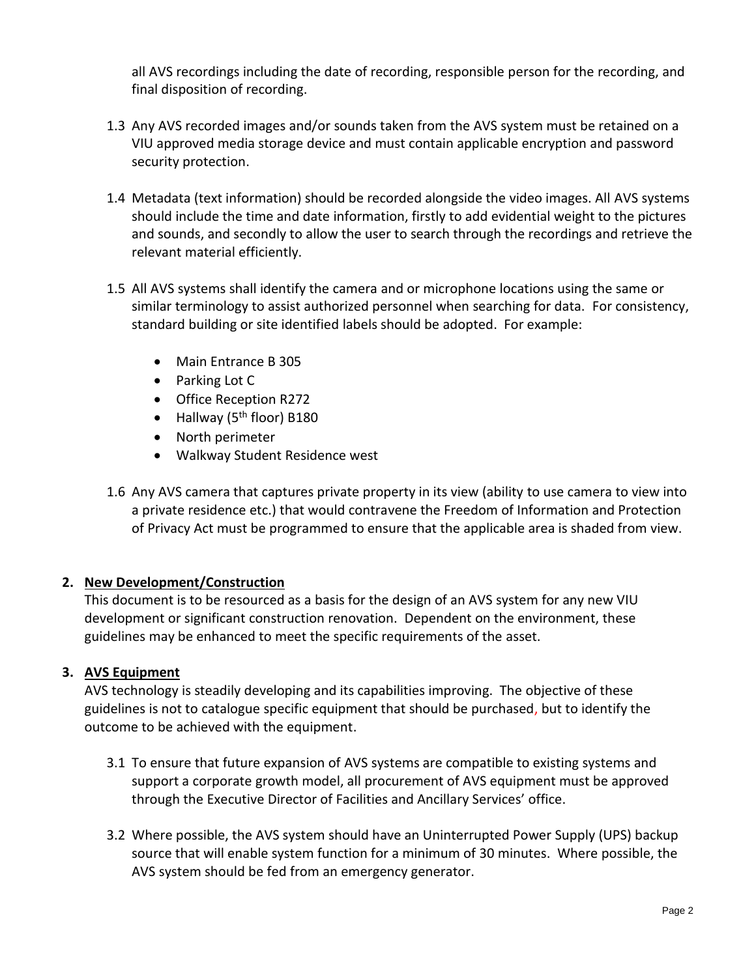all AVS recordings including the date of recording, responsible person for the recording, and final disposition of recording.

- 1.3 Any AVS recorded images and/or sounds taken from the AVS system must be retained on a VIU approved media storage device and must contain applicable encryption and password security protection.
- 1.4 Metadata (text information) should be recorded alongside the video images. All AVS systems should include the time and date information, firstly to add evidential weight to the pictures and sounds, and secondly to allow the user to search through the recordings and retrieve the relevant material efficiently.
- 1.5 All AVS systems shall identify the camera and or microphone locations using the same or similar terminology to assist authorized personnel when searching for data. For consistency, standard building or site identified labels should be adopted. For example:
	- Main Entrance B 305
	- Parking Lot C
	- Office Reception R272
	- Hallway (5<sup>th</sup> floor) B180
	- North perimeter
	- Walkway Student Residence west
- 1.6 Any AVS camera that captures private property in its view (ability to use camera to view into a private residence etc.) that would contravene the Freedom of Information and Protection of Privacy Act must be programmed to ensure that the applicable area is shaded from view.

## **2. New Development/Construction**

This document is to be resourced as a basis for the design of an AVS system for any new VIU development or significant construction renovation. Dependent on the environment, these guidelines may be enhanced to meet the specific requirements of the asset.

## **3. AVS Equipment**

AVS technology is steadily developing and its capabilities improving. The objective of these guidelines is not to catalogue specific equipment that should be purchased, but to identify the outcome to be achieved with the equipment.

- 3.1 To ensure that future expansion of AVS systems are compatible to existing systems and support a corporate growth model, all procurement of AVS equipment must be approved through the Executive Director of Facilities and Ancillary Services' office.
- 3.2 Where possible, the AVS system should have an Uninterrupted Power Supply (UPS) backup source that will enable system function for a minimum of 30 minutes. Where possible, the AVS system should be fed from an emergency generator.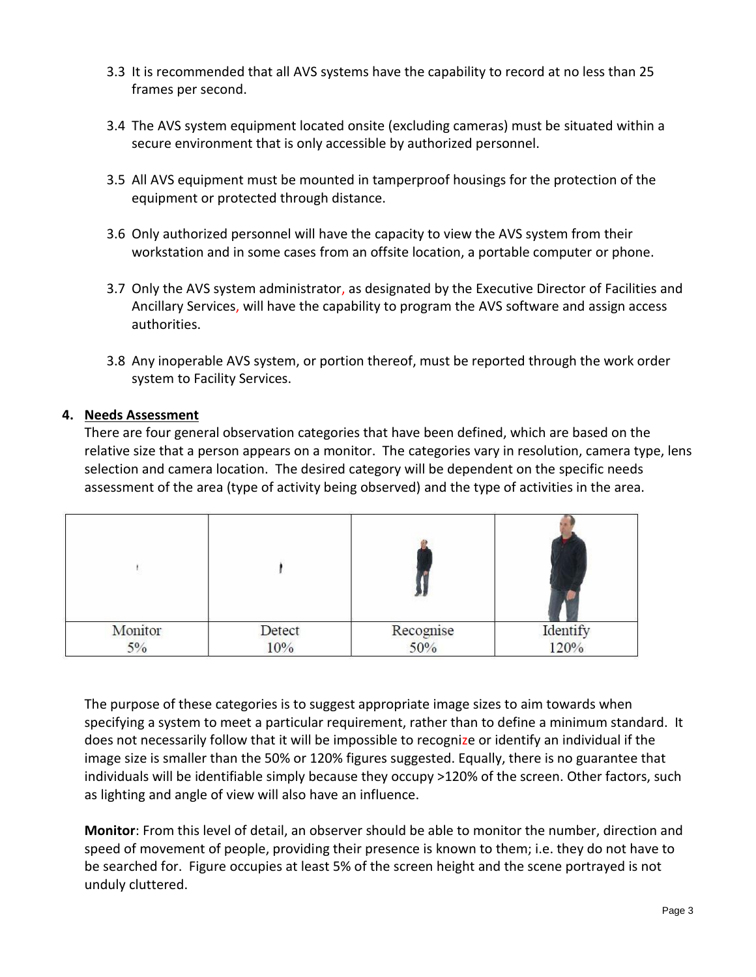- 3.3 It is recommended that all AVS systems have the capability to record at no less than 25 frames per second.
- 3.4 The AVS system equipment located onsite (excluding cameras) must be situated within a secure environment that is only accessible by authorized personnel.
- 3.5 All AVS equipment must be mounted in tamperproof housings for the protection of the equipment or protected through distance.
- 3.6 Only authorized personnel will have the capacity to view the AVS system from their workstation and in some cases from an offsite location, a portable computer or phone.
- 3.7 Only the AVS system administrator, as designated by the Executive Director of Facilities and Ancillary Services, will have the capability to program the AVS software and assign access authorities.
- 3.8 Any inoperable AVS system, or portion thereof, must be reported through the work order system to Facility Services.

#### **4. Needs Assessment**

There are four general observation categories that have been defined, which are based on the relative size that a person appears on a monitor. The categories vary in resolution, camera type, lens selection and camera location. The desired category will be dependent on the specific needs assessment of the area (type of activity being observed) and the type of activities in the area.

| Detect |     | Identify<br>120% |
|--------|-----|------------------|
|        | 10% | Recognise<br>50% |

The purpose of these categories is to suggest appropriate image sizes to aim towards when specifying a system to meet a particular requirement, rather than to define a minimum standard. It does not necessarily follow that it will be impossible to recognize or identify an individual if the image size is smaller than the 50% or 120% figures suggested. Equally, there is no guarantee that individuals will be identifiable simply because they occupy >120% of the screen. Other factors, such as lighting and angle of view will also have an influence.

**Monitor**: From this level of detail, an observer should be able to monitor the number, direction and speed of movement of people, providing their presence is known to them; i.e. they do not have to be searched for. Figure occupies at least 5% of the screen height and the scene portrayed is not unduly cluttered.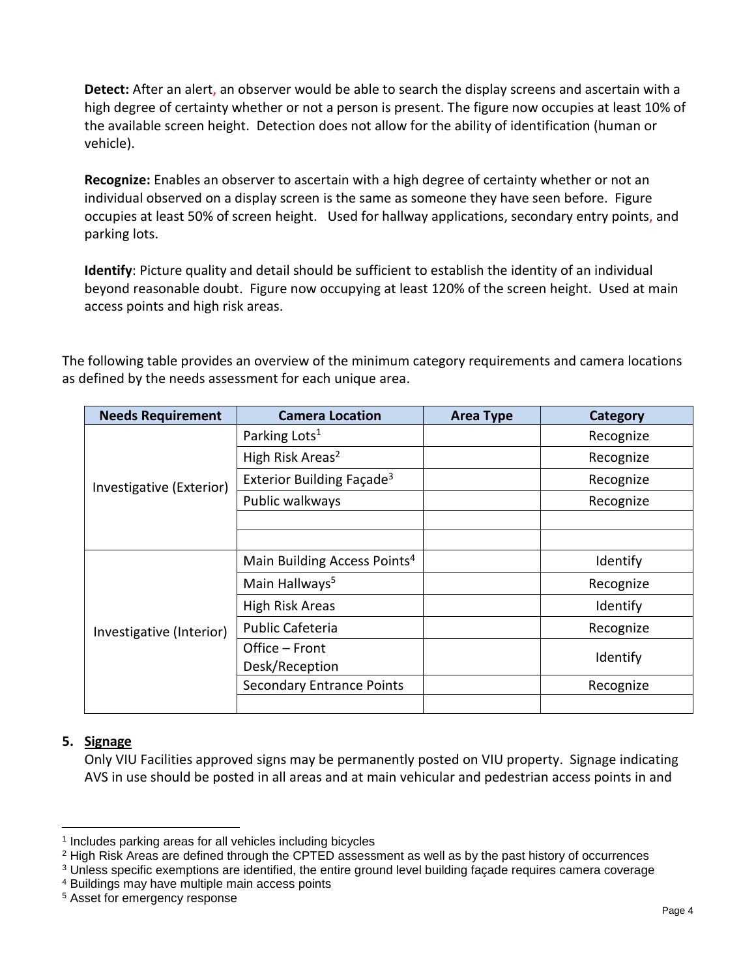**Detect:** After an alert, an observer would be able to search the display screens and ascertain with a high degree of certainty whether or not a person is present. The figure now occupies at least 10% of the available screen height. Detection does not allow for the ability of identification (human or vehicle).

**Recognize:** Enables an observer to ascertain with a high degree of certainty whether or not an individual observed on a display screen is the same as someone they have seen before. Figure occupies at least 50% of screen height. Used for hallway applications, secondary entry points, and parking lots.

**Identify**: Picture quality and detail should be sufficient to establish the identity of an individual beyond reasonable doubt. Figure now occupying at least 120% of the screen height. Used at main access points and high risk areas.

The following table provides an overview of the minimum category requirements and camera locations as defined by the needs assessment for each unique area.

| <b>Needs Requirement</b> | <b>Camera Location</b>                   | <b>Area Type</b> | Category  |
|--------------------------|------------------------------------------|------------------|-----------|
|                          | Parking Lots <sup>1</sup>                |                  | Recognize |
|                          | High Risk Areas <sup>2</sup>             |                  | Recognize |
| Investigative (Exterior) | Exterior Building Façade <sup>3</sup>    |                  | Recognize |
|                          | Public walkways                          |                  | Recognize |
|                          |                                          |                  |           |
|                          |                                          |                  |           |
|                          | Main Building Access Points <sup>4</sup> |                  | Identify  |
|                          | Main Hallways <sup>5</sup>               |                  | Recognize |
|                          | High Risk Areas                          |                  | Identify  |
| Investigative (Interior) | <b>Public Cafeteria</b>                  |                  | Recognize |
|                          | Office - Front                           |                  | Identify  |
|                          | Desk/Reception                           |                  |           |
|                          | <b>Secondary Entrance Points</b>         |                  | Recognize |
|                          |                                          |                  |           |

## **5. Signage**

l

Only VIU Facilities approved signs may be permanently posted on VIU property. Signage indicating AVS in use should be posted in all areas and at main vehicular and pedestrian access points in and

<sup>1</sup> Includes parking areas for all vehicles including bicycles

<sup>&</sup>lt;sup>2</sup> High Risk Areas are defined through the CPTED assessment as well as by the past history of occurrences

<sup>3</sup> Unless specific exemptions are identified, the entire ground level building façade requires camera coverage

<sup>4</sup> Buildings may have multiple main access points

<sup>5</sup> Asset for emergency response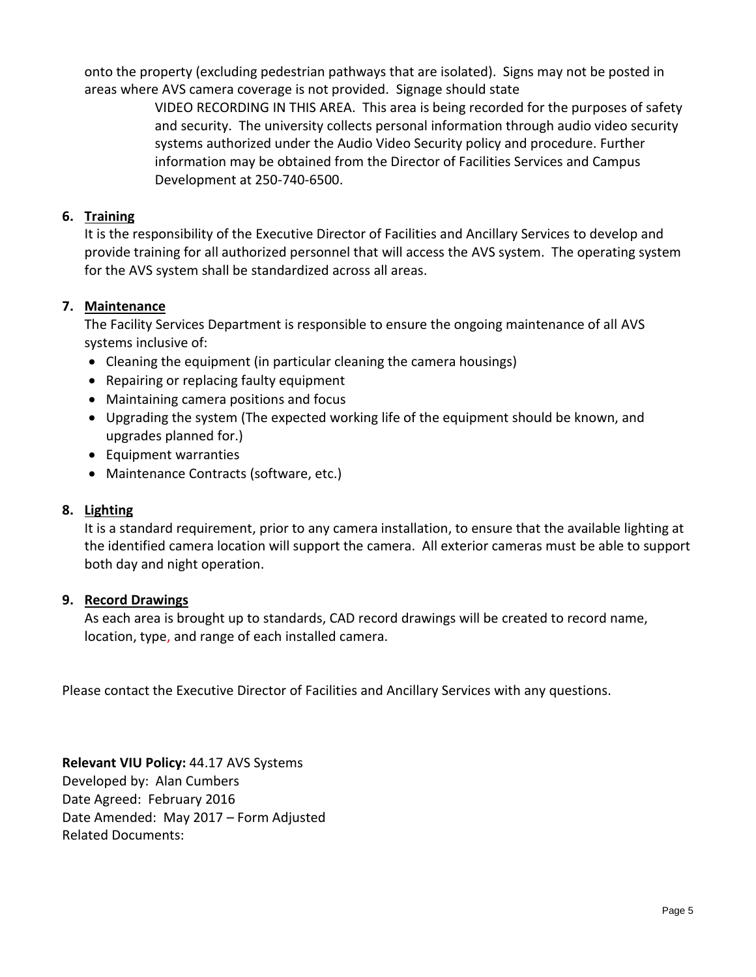onto the property (excluding pedestrian pathways that are isolated). Signs may not be posted in areas where AVS camera coverage is not provided. Signage should state

> VIDEO RECORDING IN THIS AREA. This area is being recorded for the purposes of safety and security. The university collects personal information through audio video security systems authorized under the Audio Video Security policy and procedure. Further information may be obtained from the Director of Facilities Services and Campus Development at 250-740-6500.

## **6. Training**

It is the responsibility of the Executive Director of Facilities and Ancillary Services to develop and provide training for all authorized personnel that will access the AVS system. The operating system for the AVS system shall be standardized across all areas.

## **7. Maintenance**

The Facility Services Department is responsible to ensure the ongoing maintenance of all AVS systems inclusive of:

- Cleaning the equipment (in particular cleaning the camera housings)
- Repairing or replacing faulty equipment
- Maintaining camera positions and focus
- Upgrading the system (The expected working life of the equipment should be known, and upgrades planned for.)
- Equipment warranties
- Maintenance Contracts (software, etc.)

## **8. Lighting**

It is a standard requirement, prior to any camera installation, to ensure that the available lighting at the identified camera location will support the camera. All exterior cameras must be able to support both day and night operation.

## **9. Record Drawings**

As each area is brought up to standards, CAD record drawings will be created to record name, location, type, and range of each installed camera.

Please contact the Executive Director of Facilities and Ancillary Services with any questions.

**Relevant VIU Policy:** 44.17 AVS Systems Developed by: Alan Cumbers Date Agreed: February 2016 Date Amended: May 2017 – Form Adjusted Related Documents: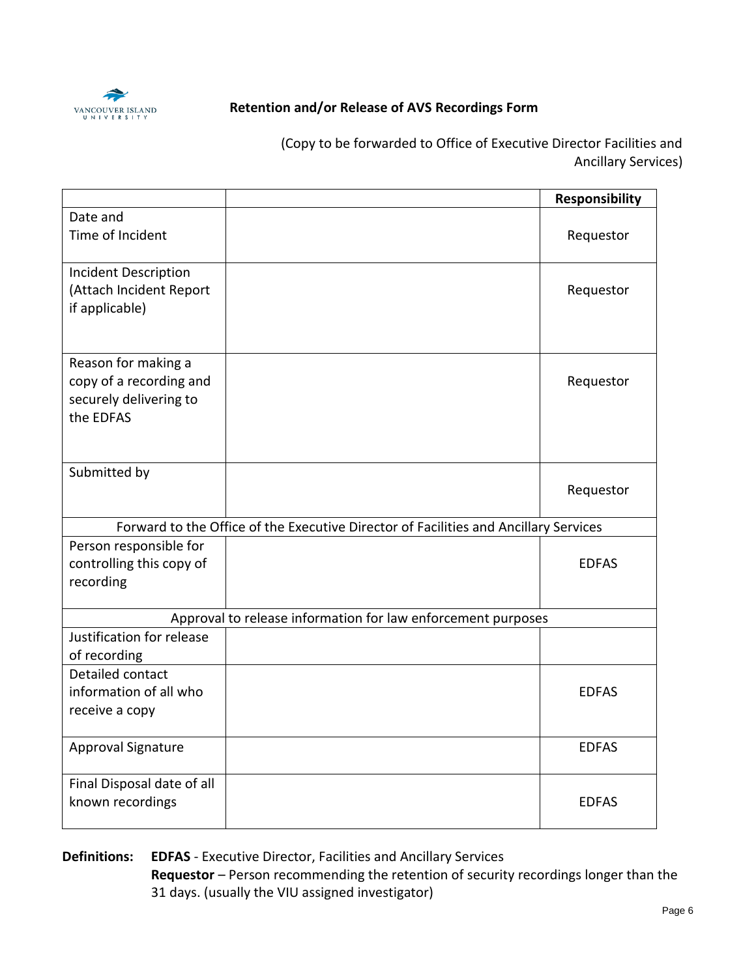

## **Retention and/or Release of AVS Recordings Form**

(Copy to be forwarded to Office of Executive Director Facilities and Ancillary Services)

|                                                                                       |                                                                                      | <b>Responsibility</b> |
|---------------------------------------------------------------------------------------|--------------------------------------------------------------------------------------|-----------------------|
| Date and<br>Time of Incident                                                          |                                                                                      | Requestor             |
| <b>Incident Description</b><br>(Attach Incident Report<br>if applicable)              |                                                                                      | Requestor             |
| Reason for making a<br>copy of a recording and<br>securely delivering to<br>the EDFAS |                                                                                      | Requestor             |
| Submitted by                                                                          |                                                                                      | Requestor             |
|                                                                                       | Forward to the Office of the Executive Director of Facilities and Ancillary Services |                       |
| Person responsible for<br>controlling this copy of<br>recording                       |                                                                                      | <b>EDFAS</b>          |
|                                                                                       | Approval to release information for law enforcement purposes                         |                       |
| Justification for release<br>of recording                                             |                                                                                      |                       |
| Detailed contact<br>information of all who<br>receive a copy                          |                                                                                      | <b>EDFAS</b>          |
| <b>Approval Signature</b>                                                             |                                                                                      | <b>EDFAS</b>          |
| Final Disposal date of all<br>known recordings                                        |                                                                                      | <b>EDFAS</b>          |

**Definitions: EDFAS** - Executive Director, Facilities and Ancillary Services **Requestor** – Person recommending the retention of security recordings longer than the

31 days. (usually the VIU assigned investigator)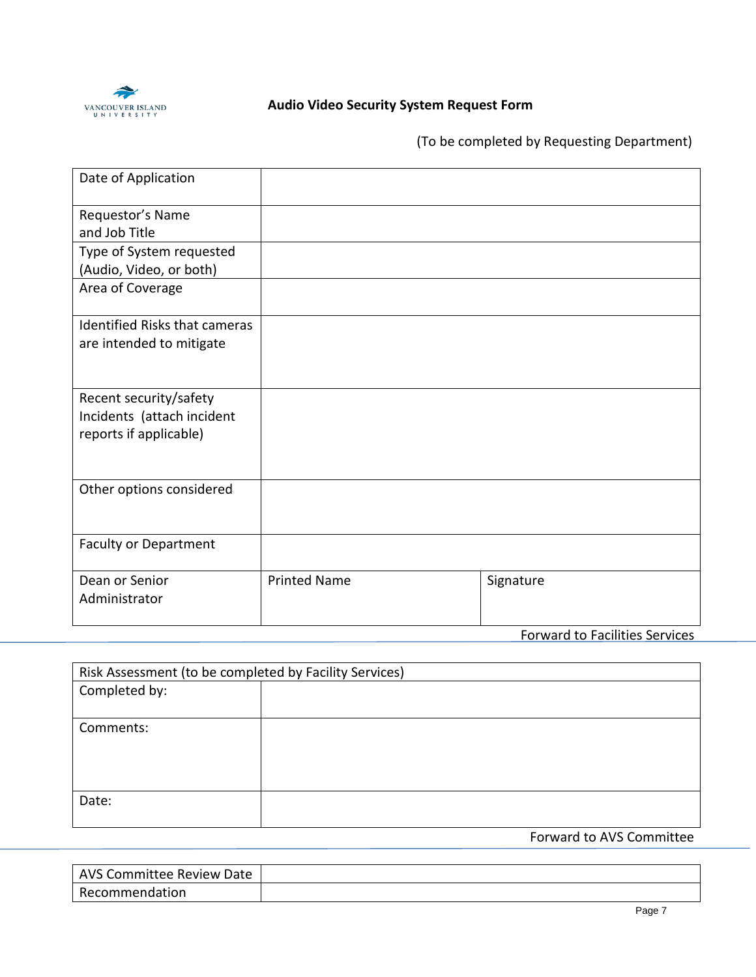

## **Audio Video Security System Request Form**

(To be completed by Requesting Department)

| Date of Application                                                            |                     |                           |  |
|--------------------------------------------------------------------------------|---------------------|---------------------------|--|
| Requestor's Name<br>and Job Title                                              |                     |                           |  |
| Type of System requested<br>(Audio, Video, or both)                            |                     |                           |  |
| Area of Coverage                                                               |                     |                           |  |
| <b>Identified Risks that cameras</b><br>are intended to mitigate               |                     |                           |  |
| Recent security/safety<br>Incidents (attach incident<br>reports if applicable) |                     |                           |  |
| Other options considered                                                       |                     |                           |  |
| <b>Faculty or Department</b>                                                   |                     |                           |  |
| Dean or Senior<br>Administrator                                                | <b>Printed Name</b> | Signature<br>$\mathbf{r}$ |  |

Forward to Facilities Services

|               | Risk Assessment (to be completed by Facility Services) |  |
|---------------|--------------------------------------------------------|--|
| Completed by: |                                                        |  |
|               |                                                        |  |
| Comments:     |                                                        |  |
|               |                                                        |  |
|               |                                                        |  |
|               |                                                        |  |
| Date:         |                                                        |  |
|               |                                                        |  |

Forward to AVS Committee

| <b>AVS Committee Review Date</b> |  |
|----------------------------------|--|
| Recommendation                   |  |